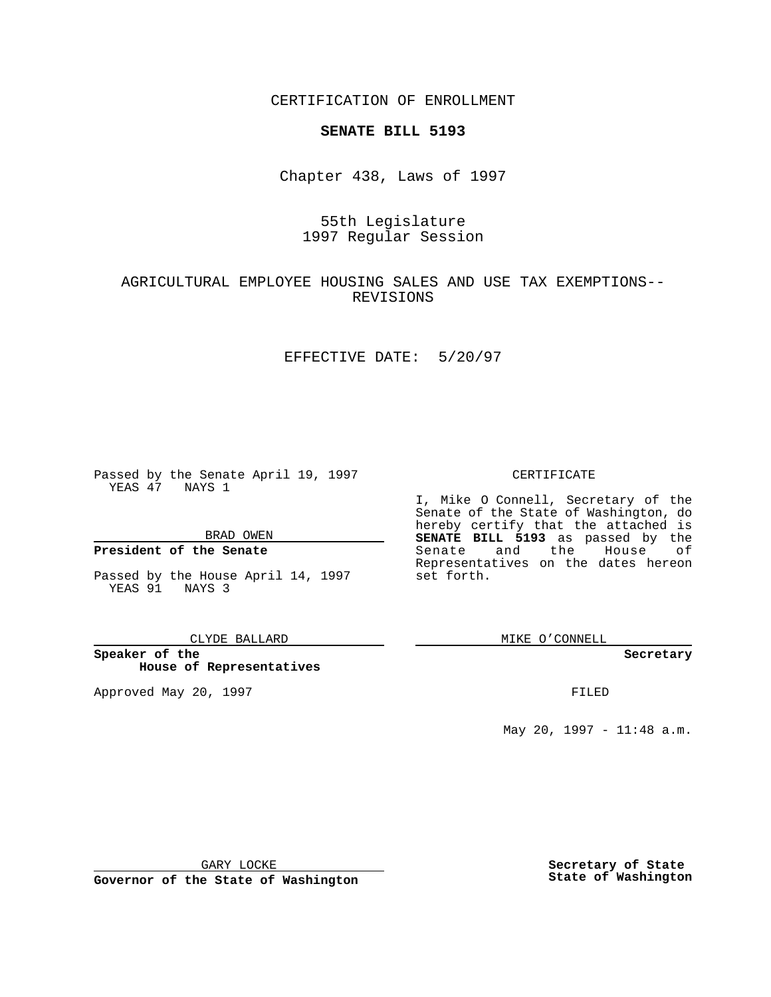CERTIFICATION OF ENROLLMENT

## **SENATE BILL 5193**

Chapter 438, Laws of 1997

# 55th Legislature 1997 Regular Session

## AGRICULTURAL EMPLOYEE HOUSING SALES AND USE TAX EXEMPTIONS-- REVISIONS

### EFFECTIVE DATE: 5/20/97

Passed by the Senate April 19, 1997 YEAS 47 NAYS 1

BRAD OWEN

### **President of the Senate**

Passed by the House April 14, 1997 YEAS 91 NAYS 3

#### CLYDE BALLARD

**Speaker of the House of Representatives**

Approved May 20, 1997 **FILED** 

### CERTIFICATE

I, Mike O Connell, Secretary of the Senate of the State of Washington, do hereby certify that the attached is **SENATE BILL 5193** as passed by the Senate and the House of Representatives on the dates hereon set forth.

MIKE O'CONNELL

#### **Secretary**

May 20, 1997 - 11:48 a.m.

GARY LOCKE

**Governor of the State of Washington**

**Secretary of State State of Washington**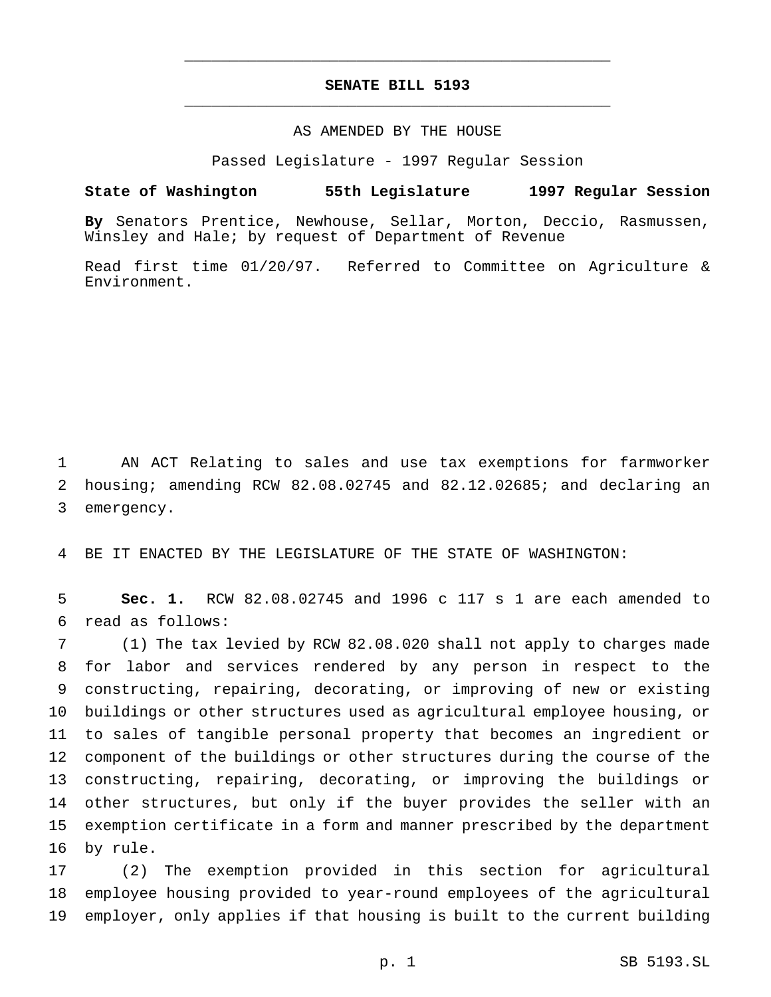# **SENATE BILL 5193** \_\_\_\_\_\_\_\_\_\_\_\_\_\_\_\_\_\_\_\_\_\_\_\_\_\_\_\_\_\_\_\_\_\_\_\_\_\_\_\_\_\_\_\_\_\_\_

\_\_\_\_\_\_\_\_\_\_\_\_\_\_\_\_\_\_\_\_\_\_\_\_\_\_\_\_\_\_\_\_\_\_\_\_\_\_\_\_\_\_\_\_\_\_\_

### AS AMENDED BY THE HOUSE

Passed Legislature - 1997 Regular Session

#### **State of Washington 55th Legislature 1997 Regular Session**

**By** Senators Prentice, Newhouse, Sellar, Morton, Deccio, Rasmussen, Winsley and Hale; by request of Department of Revenue

Read first time 01/20/97. Referred to Committee on Agriculture & Environment.

 AN ACT Relating to sales and use tax exemptions for farmworker housing; amending RCW 82.08.02745 and 82.12.02685; and declaring an emergency.

BE IT ENACTED BY THE LEGISLATURE OF THE STATE OF WASHINGTON:

 **Sec. 1.** RCW 82.08.02745 and 1996 c 117 s 1 are each amended to read as follows:

 (1) The tax levied by RCW 82.08.020 shall not apply to charges made for labor and services rendered by any person in respect to the constructing, repairing, decorating, or improving of new or existing buildings or other structures used as agricultural employee housing, or to sales of tangible personal property that becomes an ingredient or component of the buildings or other structures during the course of the constructing, repairing, decorating, or improving the buildings or other structures, but only if the buyer provides the seller with an exemption certificate in a form and manner prescribed by the department by rule.

 (2) The exemption provided in this section for agricultural employee housing provided to year-round employees of the agricultural employer, only applies if that housing is built to the current building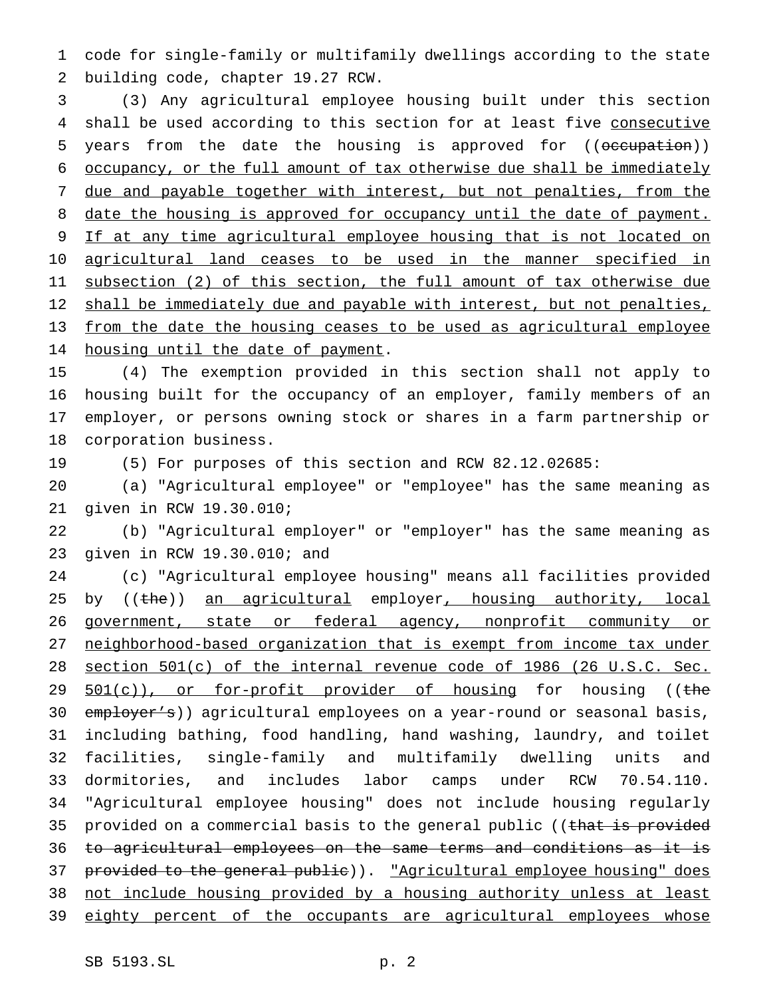code for single-family or multifamily dwellings according to the state building code, chapter 19.27 RCW.

 (3) Any agricultural employee housing built under this section 4 shall be used according to this section for at least five consecutive 5 years from the date the housing is approved for ((occupation)) occupancy, or the full amount of tax otherwise due shall be immediately 7 due and payable together with interest, but not penalties, from the 8 date the housing is approved for occupancy until the date of payment. 9 If at any time agricultural employee housing that is not located on 10 agricultural land ceases to be used in the manner specified in subsection (2) of this section, the full amount of tax otherwise due 12 shall be immediately due and payable with interest, but not penalties, from the date the housing ceases to be used as agricultural employee housing until the date of payment.

 (4) The exemption provided in this section shall not apply to housing built for the occupancy of an employer, family members of an employer, or persons owning stock or shares in a farm partnership or corporation business.

(5) For purposes of this section and RCW 82.12.02685:

 (a) "Agricultural employee" or "employee" has the same meaning as given in RCW 19.30.010;

 (b) "Agricultural employer" or "employer" has the same meaning as given in RCW 19.30.010; and

 (c) "Agricultural employee housing" means all facilities provided 25 by ((the)) an agricultural employer, housing authority, local 26 government, state or federal agency, nonprofit community or neighborhood-based organization that is exempt from income tax under section 501(c) of the internal revenue code of 1986 (26 U.S.C. Sec. 29 501(c)), or for-profit provider of housing for housing ((the 30 employer's)) agricultural employees on a year-round or seasonal basis, including bathing, food handling, hand washing, laundry, and toilet facilities, single-family and multifamily dwelling units and dormitories, and includes labor camps under RCW 70.54.110. "Agricultural employee housing" does not include housing regularly 35 provided on a commercial basis to the general public ((that is provided to agricultural employees on the same terms and conditions as it is 37 provided to the general public)). "Agricultural employee housing" does not include housing provided by a housing authority unless at least 39 eighty percent of the occupants are agricultural employees whose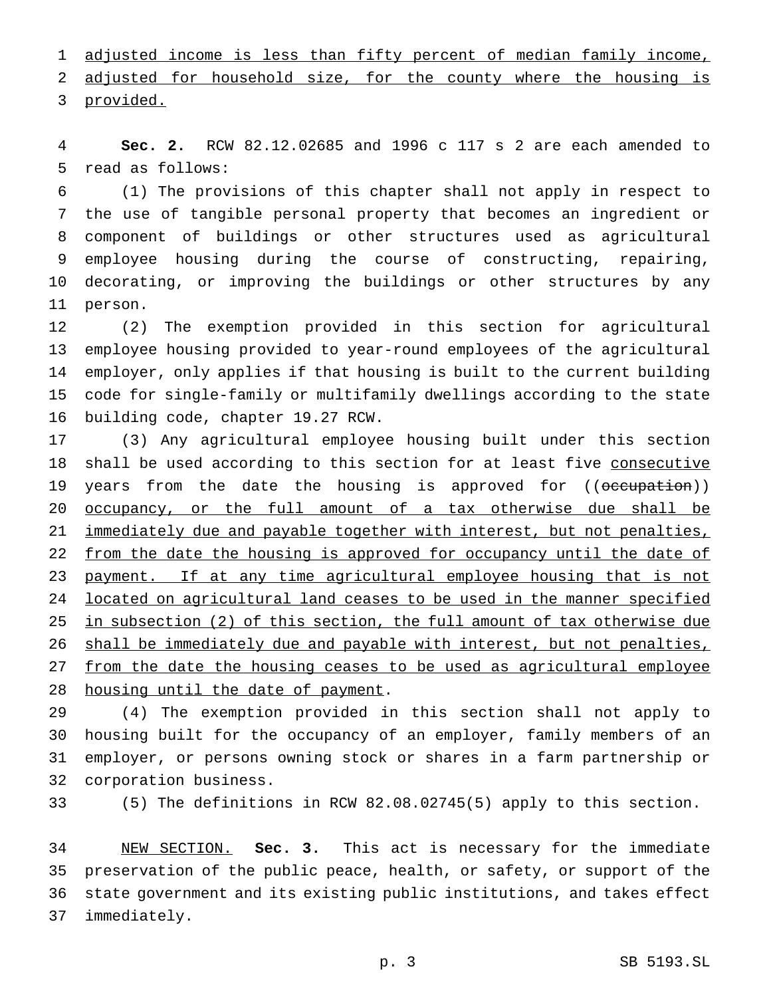1 adjusted income is less than fifty percent of median family income, 2 adjusted for household size, for the county where the housing is provided.

 **Sec. 2.** RCW 82.12.02685 and 1996 c 117 s 2 are each amended to read as follows:

 (1) The provisions of this chapter shall not apply in respect to the use of tangible personal property that becomes an ingredient or component of buildings or other structures used as agricultural employee housing during the course of constructing, repairing, decorating, or improving the buildings or other structures by any person.

 (2) The exemption provided in this section for agricultural employee housing provided to year-round employees of the agricultural employer, only applies if that housing is built to the current building code for single-family or multifamily dwellings according to the state building code, chapter 19.27 RCW.

 (3) Any agricultural employee housing built under this section 18 shall be used according to this section for at least five consecutive 19 years from the date the housing is approved for ((occupation)) 20 <u>occupancy, or the full amount of a tax otherwise due shall be</u> 21 immediately due and payable together with interest, but not penalties, 22 from the date the housing is approved for occupancy until the date of 23 payment. If at any time agricultural employee housing that is not located on agricultural land ceases to be used in the manner specified in subsection (2) of this section, the full amount of tax otherwise due shall be immediately due and payable with interest, but not penalties, from the date the housing ceases to be used as agricultural employee 28 housing until the date of payment.

 (4) The exemption provided in this section shall not apply to housing built for the occupancy of an employer, family members of an employer, or persons owning stock or shares in a farm partnership or corporation business.

(5) The definitions in RCW 82.08.02745(5) apply to this section.

 NEW SECTION. **Sec. 3.** This act is necessary for the immediate preservation of the public peace, health, or safety, or support of the state government and its existing public institutions, and takes effect immediately.